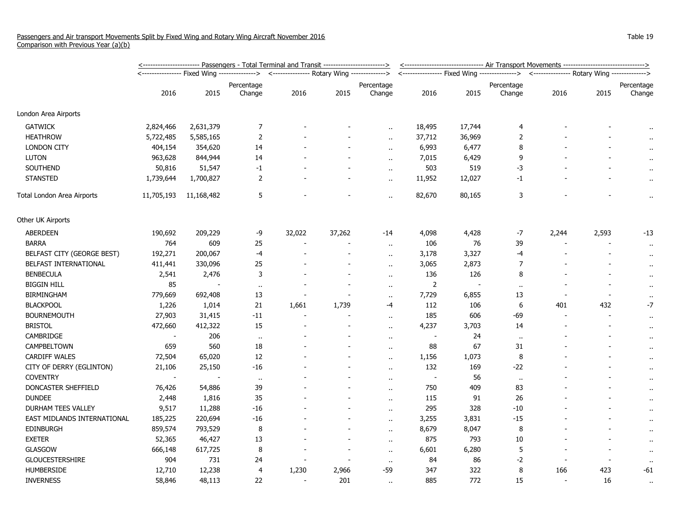|                              | <u>&lt;----------------------- Passengers - Total Terminal and Transit ------------------------&gt;</u> |            |                                             |        |        |                      |                | <-------------------------------- Air Transport Movements -------------------------------> |                                                                                          |                          |       |                      |  |
|------------------------------|---------------------------------------------------------------------------------------------------------|------------|---------------------------------------------|--------|--------|----------------------|----------------|--------------------------------------------------------------------------------------------|------------------------------------------------------------------------------------------|--------------------------|-------|----------------------|--|
|                              |                                                                                                         |            | <--------------- Rotary Wing -------------> |        |        |                      |                |                                                                                            | <---------------- Fixed Wing --------------> <--------------- Rotary Wing -------------> |                          |       |                      |  |
|                              |                                                                                                         |            | Percentage                                  |        |        | Percentage           |                |                                                                                            | Percentage                                                                               |                          |       | Percentage           |  |
|                              | 2016                                                                                                    | 2015       | Change                                      | 2016   | 2015   | Change               | 2016           | 2015                                                                                       | Change                                                                                   | 2016                     | 2015  | Change               |  |
| London Area Airports         |                                                                                                         |            |                                             |        |        |                      |                |                                                                                            |                                                                                          |                          |       |                      |  |
| <b>GATWICK</b>               | 2,824,466                                                                                               | 2,631,379  | 7                                           |        |        | $\mathbf{r}$ .       | 18,495         | 17,744                                                                                     | 4                                                                                        |                          |       |                      |  |
| <b>HEATHROW</b>              | 5,722,485                                                                                               | 5,585,165  | $\overline{2}$                              |        |        | $\ddot{\phantom{a}}$ | 37,712         | 36,969                                                                                     | $\overline{2}$                                                                           |                          |       | $\bullet$ .          |  |
| <b>LONDON CITY</b>           | 404,154                                                                                                 | 354,620    | 14                                          |        |        | $\ddot{\phantom{a}}$ | 6,993          | 6,477                                                                                      | 8                                                                                        |                          |       |                      |  |
| <b>LUTON</b>                 | 963,628                                                                                                 | 844,944    | 14                                          |        |        | $\ddot{\phantom{a}}$ | 7,015          | 6,429                                                                                      | 9                                                                                        |                          |       | $\ddot{\phantom{a}}$ |  |
| SOUTHEND                     | 50,816                                                                                                  | 51,547     | $-1$                                        |        |        | $\sim$               | 503            | 519                                                                                        | -3                                                                                       |                          |       | $\cdot$ .            |  |
| <b>STANSTED</b>              | 1,739,644                                                                                               | 1,700,827  | 2                                           |        |        | $\bullet$ .          | 11,952         | 12,027                                                                                     | $-1$                                                                                     |                          |       | $\cdot$              |  |
| Total London Area Airports   | 11,705,193                                                                                              | 11,168,482 | 5                                           |        |        | $\bullet$ .          | 82,670         | 80,165                                                                                     | 3                                                                                        |                          |       | $\alpha$             |  |
| Other UK Airports            |                                                                                                         |            |                                             |        |        |                      |                |                                                                                            |                                                                                          |                          |       |                      |  |
| ABERDEEN                     | 190,692                                                                                                 | 209,229    | -9                                          | 32,022 | 37,262 | $-14$                | 4,098          | 4,428                                                                                      | -7                                                                                       | 2,244                    | 2,593 | $-13$                |  |
| <b>BARRA</b>                 | 764                                                                                                     | 609        | 25                                          |        |        | $\ddot{\phantom{a}}$ | 106            | 76                                                                                         | 39                                                                                       |                          |       | $\cdot$ .            |  |
| BELFAST CITY (GEORGE BEST)   | 192,271                                                                                                 | 200,067    | $-4$                                        |        |        | $\ddot{\phantom{a}}$ | 3,178          | 3,327                                                                                      | $-4$                                                                                     |                          |       | $\mathbf{r}$ .       |  |
| <b>BELFAST INTERNATIONAL</b> | 411,441                                                                                                 | 330,096    | 25                                          |        |        | $\ddotsc$            | 3,065          | 2,873                                                                                      | $\overline{7}$                                                                           |                          |       | $\alpha$             |  |
| <b>BENBECULA</b>             | 2,541                                                                                                   | 2,476      | 3                                           |        |        | $\mathbf{r}$ .       | 136            | 126                                                                                        | 8                                                                                        |                          |       | $\cdot$ .            |  |
| <b>BIGGIN HILL</b>           | 85                                                                                                      |            | $\sim$                                      |        |        | $\sim$               | $\overline{2}$ |                                                                                            | $\ddot{\phantom{1}}$                                                                     |                          |       | $\bullet$ .          |  |
| <b>BIRMINGHAM</b>            | 779,669                                                                                                 | 692,408    | 13                                          |        |        | $\alpha$             | 7,729          | 6,855                                                                                      | 13                                                                                       |                          |       |                      |  |
| <b>BLACKPOOL</b>             | 1,226                                                                                                   | 1,014      | 21                                          | 1,661  | 1,739  | $-4$                 | 112            | 106                                                                                        | 6                                                                                        | 401                      | 432   | $-7$                 |  |
| <b>BOURNEMOUTH</b>           | 27,903                                                                                                  | 31,415     | $-11$                                       |        |        | $\ddotsc$            | 185            | 606                                                                                        | $-69$                                                                                    | $\overline{\phantom{a}}$ |       | $\mathbf{r}$ .       |  |
| <b>BRISTOL</b>               | 472,660                                                                                                 | 412,322    | 15                                          |        |        | $\cdot$ .            | 4,237          | 3,703                                                                                      | 14                                                                                       |                          |       | $\cdot$              |  |
| <b>CAMBRIDGE</b>             | $\overline{\phantom{a}}$                                                                                | 206        | $\mathbf{H}$                                |        |        | $\ddot{\phantom{a}}$ |                | 24                                                                                         | $\ddot{\phantom{1}}$                                                                     |                          |       | $\bullet$ .          |  |
| CAMPBELTOWN                  | 659                                                                                                     | 560        | 18                                          |        |        | $\sim$               | 88             | 67                                                                                         | 31                                                                                       |                          |       | $\bullet$ .          |  |
| <b>CARDIFF WALES</b>         | 72,504                                                                                                  | 65,020     | 12                                          |        |        | $\ddot{\phantom{a}}$ | 1,156          | 1,073                                                                                      | 8                                                                                        |                          |       | $\cdot$ .            |  |
| CITY OF DERRY (EGLINTON)     | 21,106                                                                                                  | 25,150     | $-16$                                       |        |        | $\ddot{\phantom{a}}$ | 132            | 169                                                                                        | $-22$                                                                                    |                          |       |                      |  |
| <b>COVENTRY</b>              |                                                                                                         |            | $\mathbf{H}$                                |        |        | $\sim$               | $\sim$         | 56                                                                                         | $\ddot{\phantom{1}}$                                                                     |                          |       | $\cdot$ .            |  |
| DONCASTER SHEFFIELD          | 76,426                                                                                                  | 54,886     | 39                                          |        |        | $\ddot{\phantom{1}}$ | 750            | 409                                                                                        | 83                                                                                       |                          |       | $\cdot$ .            |  |
| <b>DUNDEE</b>                | 2,448                                                                                                   | 1,816      | 35                                          |        |        | $\ddot{\phantom{1}}$ | 115            | 91                                                                                         | 26                                                                                       |                          |       | $\bullet$ .          |  |
| DURHAM TEES VALLEY           | 9,517                                                                                                   | 11,288     | $-16$                                       |        |        | $\ddot{\phantom{a}}$ | 295            | 328                                                                                        | $-10$                                                                                    |                          |       | $\alpha$             |  |
| EAST MIDLANDS INTERNATIONAL  | 185,225                                                                                                 | 220,694    | $-16$                                       |        |        | $\ddot{\phantom{a}}$ | 3,255          | 3,831                                                                                      | $-15$                                                                                    |                          |       | $\alpha$             |  |
| <b>EDINBURGH</b>             | 859,574                                                                                                 | 793,529    | 8                                           |        |        | $\mathbf{r}$ .       | 8,679          | 8,047                                                                                      | 8                                                                                        |                          |       | $\bullet$ .          |  |
| <b>EXETER</b>                | 52,365                                                                                                  | 46,427     | 13                                          |        |        | $\alpha$ .           | 875            | 793                                                                                        | 10                                                                                       |                          |       | $\cdot$ .            |  |
| <b>GLASGOW</b>               | 666,148                                                                                                 | 617,725    | 8                                           |        |        | $\sim$               | 6,601          | 6,280                                                                                      | 5                                                                                        |                          |       | $\bullet$ .          |  |
| <b>GLOUCESTERSHIRE</b>       | 904                                                                                                     | 731        | 24                                          |        |        | $\cdots$             | 84             | 86                                                                                         | $-2$                                                                                     |                          |       | $\sim$               |  |
| <b>HUMBERSIDE</b>            | 12,710                                                                                                  | 12,238     | $\overline{4}$                              | 1,230  | 2,966  | $-59$                | 347            | 322                                                                                        | 8                                                                                        | 166                      | 423   | $-61$                |  |
| <b>INVERNESS</b>             | 58,846                                                                                                  | 48,113     | 22                                          |        | 201    | $\ddot{\phantom{a}}$ | 885            | 772                                                                                        | 15                                                                                       | $\blacksquare$           | 16    | $\sim$               |  |